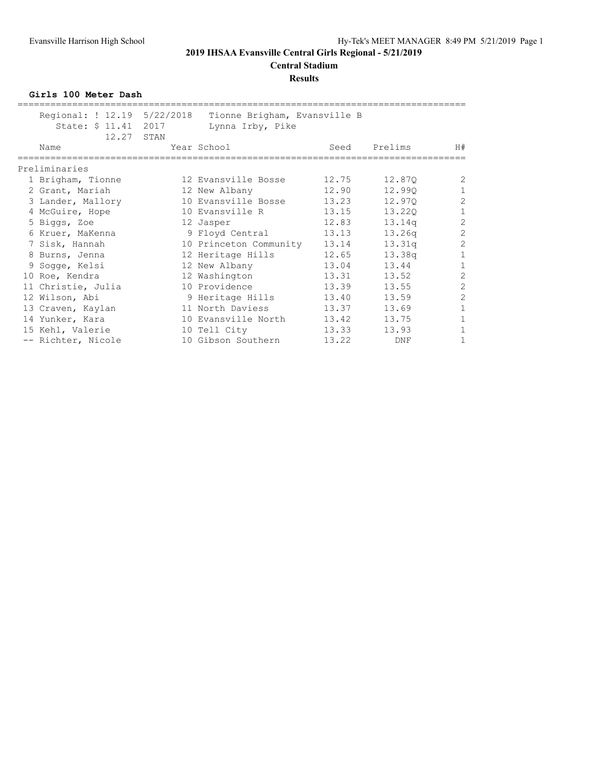# **Central Stadium**

**Results**

**Girls 100 Meter Dash**

| Regional: ! 12.19 5/22/2018 | Tionne Brigham, Evansville B |       |                    |                |
|-----------------------------|------------------------------|-------|--------------------|----------------|
| State: \$ 11.41 2017        | Lynna Irby, Pike             |       |                    |                |
| 12.27 STAN                  |                              |       |                    |                |
| Name                        | Year School                  | Seed  | Prelims            | H#             |
| Preliminaries               |                              |       |                    |                |
| 1 Brigham, Tionne           | 12 Evansville Bosse          | 12.75 | 12.870             | $\overline{2}$ |
| 2 Grant, Mariah             | 12 New Albany                | 12.90 | 12.990             | $\mathbf{1}$   |
| 3 Lander, Mallory           | 10 Evansville Bosse          | 13.23 | 12.970             | $\overline{2}$ |
| 4 McGuire, Hope             | 10 Evansville R              | 13.15 | 13.220             | $\mathbf{1}$   |
| 5 Biggs, Zoe                | 12 Jasper                    | 12.83 | 13.14q             | $\overline{c}$ |
| 6 Kruer, MaKenna            | 9 Floyd Central              | 13.13 | 13.26 <sub>q</sub> | $\overline{2}$ |
| 7 Sisk, Hannah              | 10 Princeton Community       | 13.14 | 13.31q             | $\overline{c}$ |
| 8 Burns, Jenna              | 12 Heritage Hills            | 12.65 | 13.38q             | $\mathbf{1}$   |
| 9 Sogge, Kelsi              | 12 New Albany                | 13.04 | 13.44              | $\mathbf{1}$   |
| 10 Roe, Kendra              | 12 Washington                | 13.31 | 13.52              | $\overline{c}$ |
| 11 Christie, Julia          | 10 Providence                | 13.39 | 13.55              | $\overline{2}$ |
| 12 Wilson, Abi              | 9 Heritage Hills             | 13.40 | 13.59              | $\overline{2}$ |
| 13 Craven, Kaylan           | 11 North Daviess             | 13.37 | 13.69              | $\mathbf{1}$   |
| 14 Yunker, Kara             | 10 Evansville North          | 13.42 | 13.75              | $\mathbf{1}$   |
| 15 Kehl, Valerie            | 10 Tell City                 | 13.33 | 13.93              | $\mathbf{1}$   |
| -- Richter, Nicole          | 10 Gibson Southern           | 13.22 | <b>DNF</b>         | $\mathbf{1}$   |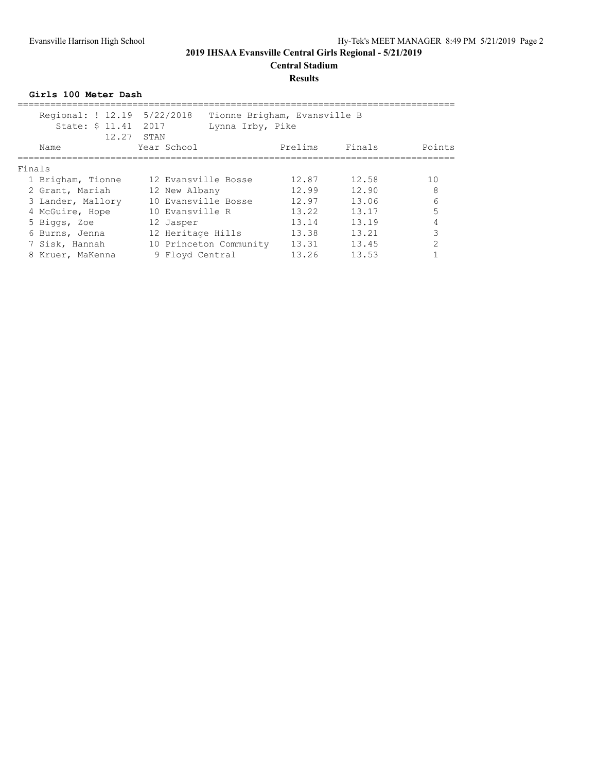#### **Results**

**Girls 100 Meter Dash**

| Regional: ! 12.19 5/22/2018<br>State: \$ 11.41 2017 | 12.27 STAN  | Lynna Irby, Pike       | Tionne Brigham, Evansville B |        |               |  |  |  |  |  |
|-----------------------------------------------------|-------------|------------------------|------------------------------|--------|---------------|--|--|--|--|--|
| Name                                                | Year School |                        | Prelims                      | Finals | Points        |  |  |  |  |  |
| Finals                                              |             |                        |                              |        |               |  |  |  |  |  |
| 1 Brigham, Tionne                                   |             | 12 Evansville Bosse    | 12.87                        | 12.58  | 10            |  |  |  |  |  |
| 2 Grant, Mariah                                     |             | 12 New Albany          | 12.99                        | 12.90  | 8             |  |  |  |  |  |
| 3 Lander, Mallory                                   |             | 10 Evansville Bosse    | 12.97                        | 13.06  | 6             |  |  |  |  |  |
| 4 McGuire, Hope                                     |             | 10 Evansville R        | 13.22                        | 13.17  |               |  |  |  |  |  |
| 5 Biggs, Zoe                                        |             | 12 Jasper              | 13.14                        | 13.19  |               |  |  |  |  |  |
| 6 Burns, Jenna                                      |             | 12 Heritage Hills      | 13.38                        | 13.21  | 3             |  |  |  |  |  |
| 7 Sisk, Hannah                                      |             | 10 Princeton Community | 13.31                        | 13.45  | $\mathcal{P}$ |  |  |  |  |  |
| 8 Kruer, MaKenna                                    |             | 9 Floyd Central        | 13.26                        | 13.53  |               |  |  |  |  |  |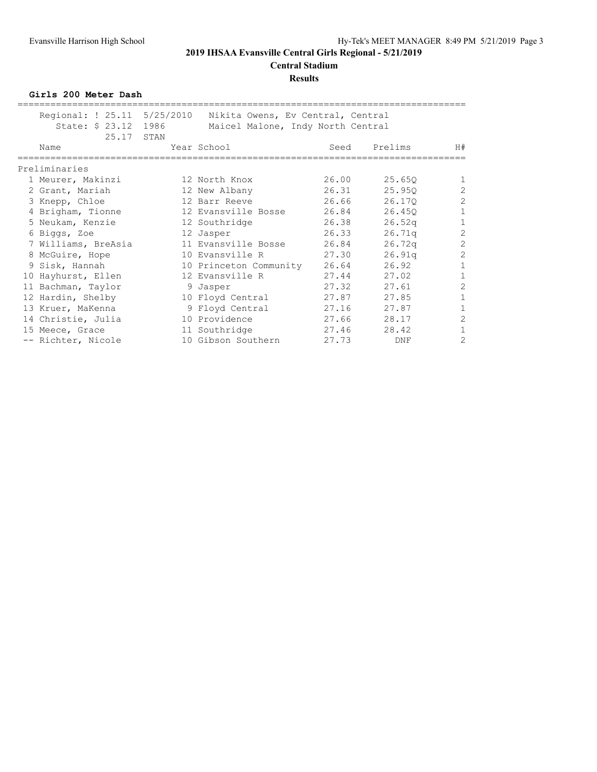# **Results**

**Girls 200 Meter Dash**

| Regional: ! 25.11 5/25/2010<br>State: \$ 23.12 1986<br>25.17 | STAN | Nikita Owens, Ev Central, Central<br>Maicel Malone, Indy North Central |       |         |                |
|--------------------------------------------------------------|------|------------------------------------------------------------------------|-------|---------|----------------|
| Name                                                         |      | Year School                                                            | Seed  | Prelims | H#             |
| Preliminaries                                                |      |                                                                        |       |         |                |
| 1 Meurer, Makinzi                                            |      | 12 North Knox                                                          | 26.00 | 25.650  | 1              |
| 2 Grant, Mariah                                              |      | 12 New Albany                                                          | 26.31 | 25.95Q  | $\overline{2}$ |
| 3 Knepp, Chloe                                               |      | 12 Barr Reeve                                                          | 26.66 | 26.170  | $\overline{2}$ |
| 4 Brigham, Tionne                                            |      | 12 Evansville Bosse                                                    | 26.84 | 26.450  | $\mathbf{1}$   |
| 5 Neukam, Kenzie                                             |      | 12 Southridge                                                          | 26.38 | 26.52q  | $\mathbf{1}$   |
| 6 Biggs, Zoe                                                 |      | 12 Jasper                                                              | 26.33 | 26.71q  | $\overline{2}$ |
| 7 Williams, BreAsia                                          |      | 11 Evansville Bosse                                                    | 26.84 | 26.72q  | $\overline{2}$ |
| 8 McGuire, Hope                                              |      | 10 Evansville R                                                        | 27.30 | 26.91q  | $\overline{c}$ |
| 9 Sisk, Hannah                                               |      | 10 Princeton Community                                                 | 26.64 | 26.92   | $\mathbf{1}$   |
| 10 Hayhurst, Ellen                                           |      | 12 Evansville R                                                        | 27.44 | 27.02   | $\mathbf{1}$   |
| 11 Bachman, Taylor                                           |      | 9 Jasper                                                               | 27.32 | 27.61   | $\overline{2}$ |
| 12 Hardin, Shelby                                            |      | 10 Floyd Central                                                       | 27.87 | 27.85   | $\mathbf{1}$   |
| 13 Kruer, MaKenna                                            |      | 9 Floyd Central                                                        | 27.16 | 27.87   | $\mathbf{1}$   |
| 14 Christie, Julia                                           |      | 10 Providence                                                          | 27.66 | 28.17   | $\overline{2}$ |
| 15 Meece, Grace                                              |      | 11 Southridge                                                          | 27.46 | 28.42   | $\mathbf{1}$   |
| -- Richter, Nicole                                           |      | 10 Gibson Southern                                                     | 27.73 | DNF     | 2              |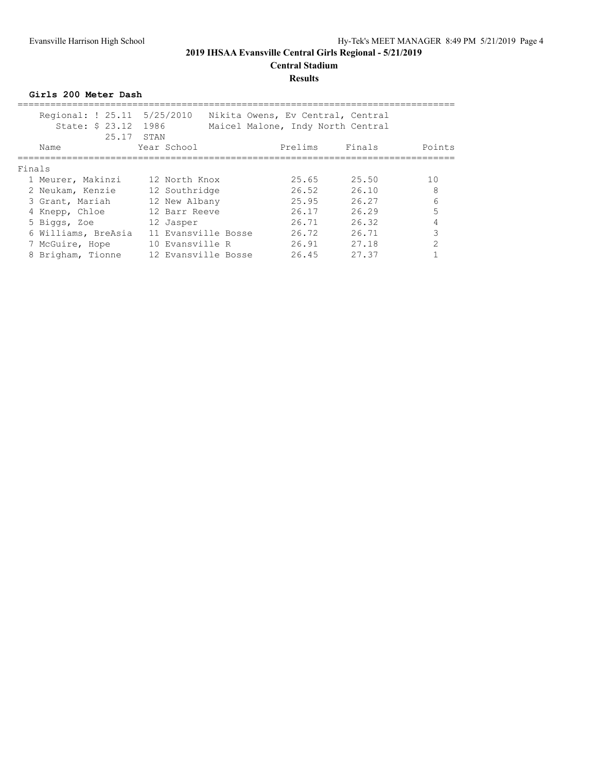#### **Results**

**Girls 200 Meter Dash**

|        | Regional: ! 25.11 5/25/2010<br>State: \$ 23.12 1986<br>25.17 | STAN                | Nikita Owens, Ev Central, Central<br>Maicel Malone, Indy North Central |       |                |
|--------|--------------------------------------------------------------|---------------------|------------------------------------------------------------------------|-------|----------------|
|        | Name                                                         | Year School         | Prelims Finals                                                         |       | Points         |
| Finals |                                                              |                     |                                                                        |       |                |
|        | 1 Meurer, Makinzi                                            | 12 North Knox       | 25.65                                                                  | 25.50 | 10             |
|        | 2 Neukam, Kenzie                                             | 12 Southridge       | 26.52                                                                  | 26.10 | 8              |
|        | 3 Grant, Mariah                                              | 12 New Albany       | 25.95                                                                  | 26.27 | 6              |
|        | 4 Knepp, Chloe                                               | 12 Barr Reeve       | 26.17                                                                  | 26.29 | 5              |
|        | 5 Biggs, Zoe                                                 | 12 Jasper           | 26.71                                                                  | 26.32 |                |
|        | 6 Williams, BreAsia                                          | 11 Evansville Bosse | 26.72                                                                  | 26.71 | 3              |
|        | 7 McGuire, Hope                                              | 10 Evansville R     | 26.91                                                                  | 27.18 | $\mathfrak{D}$ |
|        | 8 Brigham, Tionne                                            | 12 Evansville Bosse | 26.45                                                                  | 27.37 |                |
|        |                                                              |                     |                                                                        |       |                |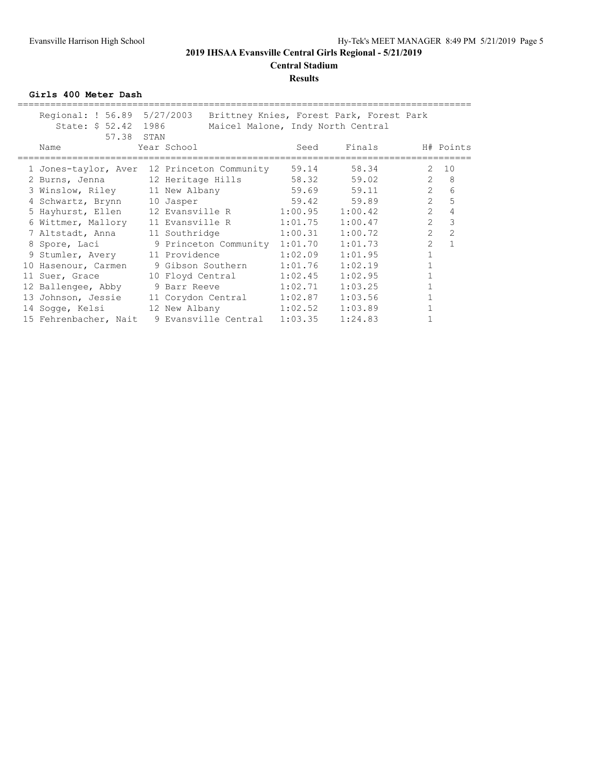### **Results**

**Girls 400 Meter Dash**

| Regional: ! 56.89 5/27/2003<br>State: \$ 52.42 1986<br>57.38 STAN | Brittney Knies, Forest Park, Forest Park<br>Maicel Malone, Indy North Central |                 |         |                |                |
|-------------------------------------------------------------------|-------------------------------------------------------------------------------|-----------------|---------|----------------|----------------|
| Name                                                              | Year School                                                                   | Seed            | Finals  |                | H# Points      |
|                                                                   | 1 Jones-taylor, Aver 12 Princeton Community                                   | 59.14           | 58.34   | 2              | 10             |
| 2 Burns, Jenna 12 Heritage Hills                                  |                                                                               | 58.32 59.02     |         | $\overline{2}$ | 8 <sup>8</sup> |
| 3 Winslow, Riley 11 New Albany                                    |                                                                               | $59.69$ $59.11$ |         | $2^{\circ}$    | 6              |
| 4 Schwartz, Brynn 10 Jasper                                       | $59.42$ $59.89$                                                               |                 |         | $\overline{2}$ | 5              |
|                                                                   | 5 Hayhurst, Ellen 12 Evansville R 1:00.95 1:00.42                             |                 |         | $\overline{2}$ | $\overline{4}$ |
|                                                                   | 6 Wittmer, Mallory 11 Evansville R 1:01.75                                    |                 | 1:00.47 | $\overline{2}$ | 3              |
| 7 Altstadt, Anna 11 Southridge                                    |                                                                               | 1:00.31         | 1:00.72 | $\overline{2}$ | $\overline{2}$ |
| 8 Spore, Laci                                                     | 9 Princeton Community 1:01.70                                                 |                 | 1:01.73 | $\overline{2}$ | 1              |
|                                                                   | 9 Stumler, Avery 11 Providence                                                | 1:02.09         | 1:01.95 | $\mathbf{1}$   |                |
| 10 Hasenour, Carmen                                               | 9 Gibson Southern 1:01.76                                                     |                 | 1:02.19 |                |                |
|                                                                   | 11 Suer, Grace 10 Floyd Central 1:02.45                                       |                 | 1:02.95 | $\mathbf{1}$   |                |
| 12 Ballengee, Abby                                                | 9 Barr Reeve 1:02.71                                                          |                 | 1:03.25 |                |                |
|                                                                   | 13 Johnson, Jessie 11 Corydon Central 1:02.87                                 |                 | 1:03.56 |                |                |
|                                                                   |                                                                               |                 | 1:03.89 |                |                |
|                                                                   | 15 Fehrenbacher, Nait 9 Evansville Central 1:03.35                            |                 | 1:24.83 |                |                |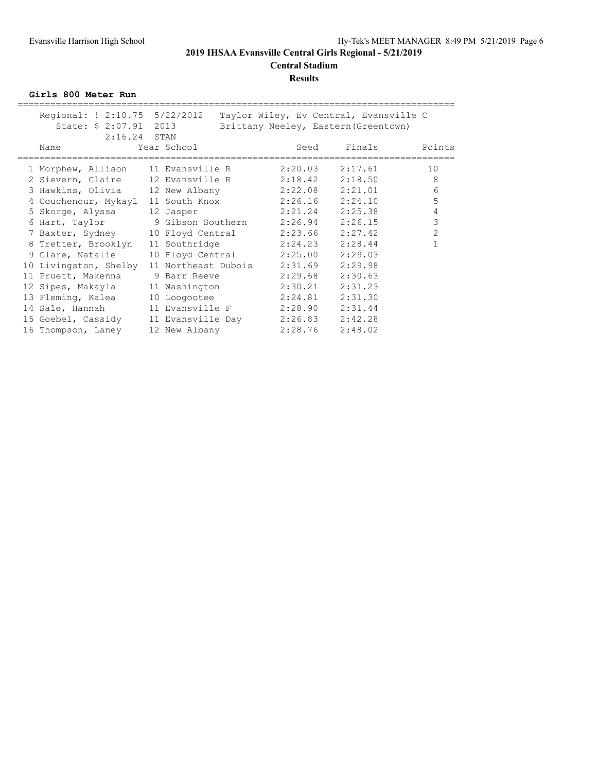# **Central Stadium**

#### **Results**

**Girls 800 Meter Run**

| Regional: ! 2:10.75 5/22/2012            |                                   |                     |      |                     | Taylor Wiley, Ev Central, Evansville C |                |
|------------------------------------------|-----------------------------------|---------------------|------|---------------------|----------------------------------------|----------------|
| State: \$ 2:07.91 2013                   |                                   |                     |      |                     | Brittany Neeley, Eastern (Greentown)   |                |
| $2:16.24$ STAN                           |                                   |                     |      |                     |                                        |                |
| Name                                     | Year School                       |                     | Seed |                     | Finals                                 | Points         |
|                                          |                                   |                     |      |                     |                                        |                |
| 1 Morphew, Allison                       | 11 Evansville R                   |                     |      | $2:20.03$ $2:17.61$ |                                        | 10             |
| 2 Sievern, Claire                        | 12 Evansville R 2:18.42 2:18.50   |                     |      |                     |                                        | 8              |
| 3 Hawkins, Olivia 12 New Albany          |                                   | 2:22.08             |      | 2:21.01             |                                        | 6              |
| 4 Couchenour, Mykayl                     | 11 South Knox                     |                     |      | $2:26.16$ $2:24.10$ |                                        | 5              |
| 5 Skorqe, Alyssa                         | 12 Jasper                         |                     |      | 2:21.24 2:25.38     |                                        | 4              |
| 6 Hart, Taylor 9 Gibson Southern 2:26.94 |                                   |                     |      | 2:26.15             |                                        | 3              |
| 7 Baxter, Sydney                         | 10 Floyd Central                  |                     |      | $2:23.66$ $2:27.42$ |                                        | $\overline{2}$ |
| 8 Tretter, Brooklyn                      | 11 Southridge                     | $2:24.23$ $2:28.44$ |      |                     |                                        |                |
| 9 Clare, Natalie                         | 10 Floyd Central 2:25.00          |                     |      | 2:29.03             |                                        |                |
| 10 Livingston, Shelby                    | 11 Northeast Dubois               | 2:31.69             |      | 2:29.98             |                                        |                |
| 11 Pruett, Makenna                       | 9 Barr Reeve                      |                     |      | $2:29.68$ $2:30.63$ |                                        |                |
| 12 Sipes, Makayla                        | 11 Washington                     | 2:30.21             |      | 2:31.23             |                                        |                |
| 13 Fleming, Kalea                        | 10 Loogootee                      | 2:24.81             |      | 2:31.30             |                                        |                |
| 14 Sale, Hannah                          | 11 Evansville F                   |                     |      | $2:28.90$ $2:31.44$ |                                        |                |
| 15 Goebel, Cassidy                       | 11 Evansville Day 2:26.83 2:42.28 |                     |      |                     |                                        |                |
| 16 Thompson, Laney                       | 12 New Albany                     | 2:28.76             |      | 2:48.02             |                                        |                |
|                                          |                                   |                     |      |                     |                                        |                |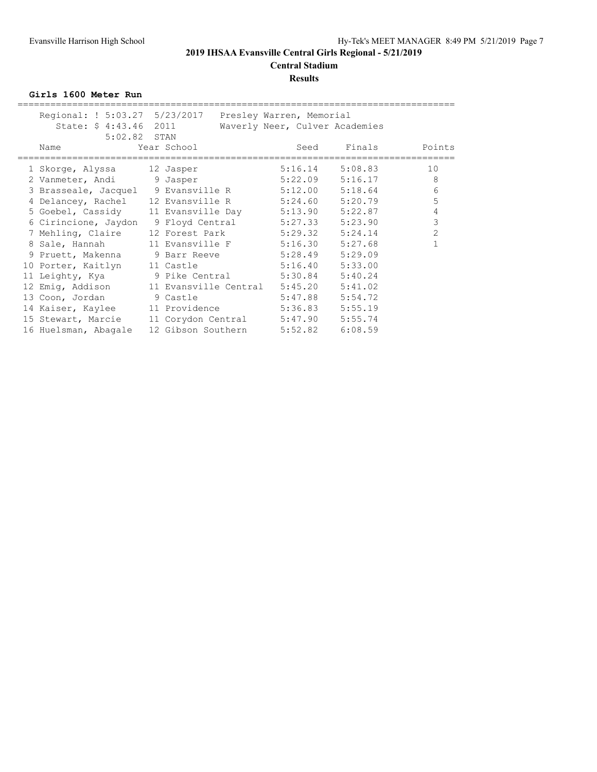**Central Stadium**

#### **Results**

**Girls 1600 Meter Run**

| Regional: ! 5:03.27 5/23/2017 Presley Warren, Memorial<br>State: \$4:43.46 2011 |                                    | Waverly Neer, Culver Academies |                     |                |
|---------------------------------------------------------------------------------|------------------------------------|--------------------------------|---------------------|----------------|
|                                                                                 |                                    |                                |                     |                |
| 5:02.82 STAN                                                                    |                                    |                                |                     |                |
| Name                                                                            | Year School                        | Seed                           |                     | Finals Points  |
|                                                                                 |                                    |                                |                     |                |
| 1 Skorge, Alyssa 12 Jasper                                                      |                                    | 5:16.14                        | 5:08.83             | 10             |
| 2 Vanmeter, Andi 9 Jasper                                                       |                                    |                                | $5:22.09$ $5:16.17$ | 8              |
| 3 Brasseale, Jacquel 9 Evansville R 5:12.00                                     |                                    |                                | 5:18.64             | 6              |
| 4 Delancey, Rachel 12 Evansville R 5:24.60                                      |                                    |                                | 5:20.79             | 5              |
| 5 Goebel, Cassidy 11 Evansville Day 5:13.90                                     |                                    |                                | 5:22.87             | 4              |
| 6 Cirincione, Jaydon                                                            | 9 Floyd Central 5:27.33            |                                | 5:23.90             | 3              |
| 7 Mehling, Claire                                                               | 12 Forest Park 5:29.32             |                                | 5:24.14             | $\overline{2}$ |
|                                                                                 |                                    |                                | 5:27.68             |                |
| 8 Sale, Hannah                                                                  | 11 Evansville F 5:16.30            |                                |                     |                |
| 9 Pruett, Makenna 9 Barr Reeve 5:28.49                                          |                                    |                                | 5:29.09             |                |
| 10 Porter, Kaitlyn 11 Castle                                                    |                                    | 5:16.40                        | 5:33.00             |                |
| 11 Leighty, Kya $\qquad \qquad$ 9 Pike Central $\qquad \qquad$ 5:30.84          |                                    |                                | 5:40.24             |                |
| 12 Emig, Addison 11 Evansville Central 5:45.20                                  |                                    |                                | 5:41.02             |                |
| 13 Coon, Jordan 9 Castle                                                        |                                    | 5:47.88                        | 5:54.72             |                |
| 14 Kaiser, Kaylee 11 Providence 5:36.83                                         |                                    |                                | 5:55.19             |                |
| 15 Stewart, Marcie                                                              | 11 Corydon Central 5:47.90 5:55.74 |                                |                     |                |
| 16 Huelsman, Abagale                                                            | 12 Gibson Southern 5:52.82         |                                | 6:08.59             |                |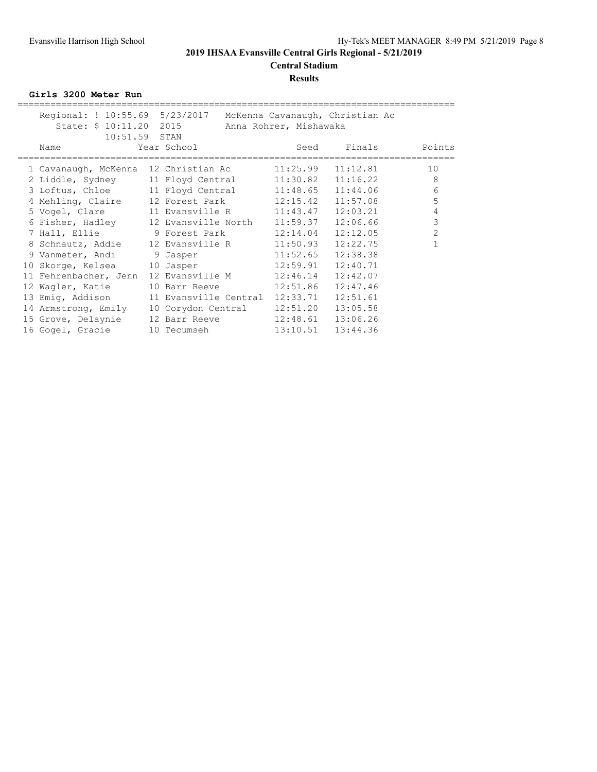#### **Central Stadium Results**

**Girls 3200 Meter Run**

| Regional: ! 10:55.69 5/23/2017 McKenna Cavanaugh, Christian Ac | State: \$ 10:11.20 2015 Anna Rohrer, Mishawaka |          |                    |                |
|----------------------------------------------------------------|------------------------------------------------|----------|--------------------|----------------|
| $10:51.59$ STAN                                                |                                                |          |                    |                |
| Name<br>================                                       | Year School                                    |          | Seed Finals Points |                |
| 1 Cavanaugh, McKenna 12 Christian Ac 11:25.99                  |                                                |          | 11:12.81           | 10             |
| 2 Liddle, Sydney 11 Floyd Central 11:30.82 11:16.22            |                                                |          |                    | 8              |
| 3 Loftus, Chloe 11 Floyd Central 11:48.65                      |                                                |          | 11:44.06           | 6              |
| 4 Mehling, Claire 12 Forest Park 12:15.42                      |                                                |          | 11:57.08           | 5              |
| 5 Vogel, Clare 11 Evansville R 11:43.47                        |                                                |          | 12:03.21           | $\overline{4}$ |
| 6 Fisher, Hadley 12 Evansville North 11:59.37                  |                                                |          | 12:06.66           | $\mathcal{S}$  |
| 7 Hall, Ellie 9 Forest Park 12:14.04                           |                                                |          | 12:12.05           | $\overline{2}$ |
| 8 Schnautz, Addie 12 Evansville R 11:50.93                     |                                                |          | 12:22.75           |                |
| 9 Vanmeter, Andi 9 Jasper                                      | 11:52.65                                       |          | 12:38.38           |                |
| 10 Skorge, Kelsea 10 Jasper 12:59.91                           |                                                |          | 12:40.71           |                |
| 11 Fehrenbacher, Jenn                                          | 12 Evansville M 12:46.14                       |          | 12:42.07           |                |
| 12 Wagler, Katie                                               | 10 Barr Reeve 12:51.86                         |          | 12:47.46           |                |
| 13 Emig, Addison                                               | 11 Evansville Central 12:33.71                 |          | 12:51.61           |                |
| 14 Armstrong, Emily                                            | 10 Corydon Central                             | 12:51.20 | 13:05.58           |                |
| 15 Grove, Delaynie                                             | 12 Barr Reeve 12:48.61                         |          | 13:06.26           |                |
| 16 Gogel, Gracie                                               |                                                |          | 13:44.36           |                |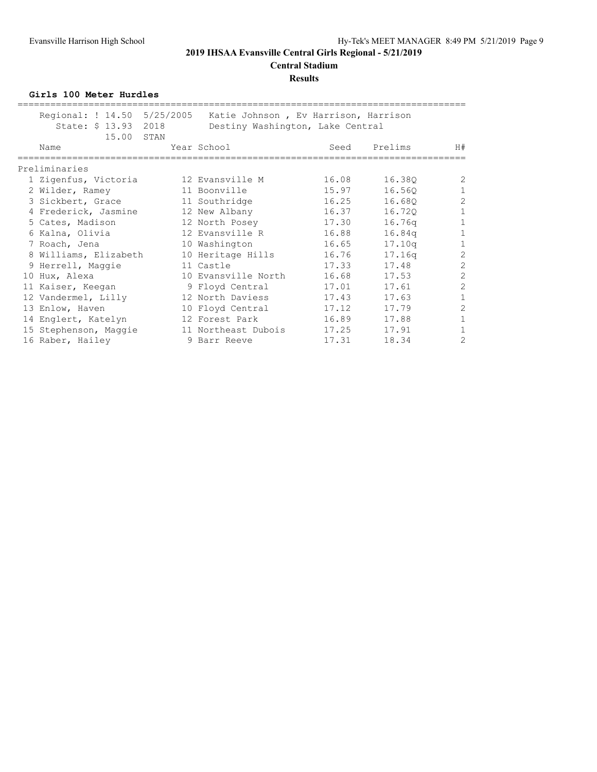# **Central Stadium**

#### **Results**

**Girls 100 Meter Hurdles**

| Name              |                 |                                                                                                                                                               |                                                                                            | Seed                                                                                                                                                                                                                                                                                                                | Prelims | H#                                                                                         |
|-------------------|-----------------|---------------------------------------------------------------------------------------------------------------------------------------------------------------|--------------------------------------------------------------------------------------------|---------------------------------------------------------------------------------------------------------------------------------------------------------------------------------------------------------------------------------------------------------------------------------------------------------------------|---------|--------------------------------------------------------------------------------------------|
| Preliminaries     |                 |                                                                                                                                                               |                                                                                            |                                                                                                                                                                                                                                                                                                                     |         |                                                                                            |
|                   |                 |                                                                                                                                                               |                                                                                            | 16.08                                                                                                                                                                                                                                                                                                               | 16.38Q  | 2                                                                                          |
|                   |                 |                                                                                                                                                               |                                                                                            | 15.97                                                                                                                                                                                                                                                                                                               | 16.560  | $\mathbf 1$                                                                                |
|                   |                 |                                                                                                                                                               |                                                                                            |                                                                                                                                                                                                                                                                                                                     | 16.680  | $\overline{c}$                                                                             |
|                   |                 |                                                                                                                                                               |                                                                                            | 16.37                                                                                                                                                                                                                                                                                                               | 16.720  | $\mathbf 1$                                                                                |
| 5 Cates, Madison  |                 |                                                                                                                                                               |                                                                                            | 17.30                                                                                                                                                                                                                                                                                                               | 16.76q  | $\mathbf{1}$                                                                               |
| 6 Kalna, Olivia   |                 |                                                                                                                                                               |                                                                                            | 16.88                                                                                                                                                                                                                                                                                                               | 16.84q  | $\mathbf{1}$                                                                               |
| 7 Roach, Jena     |                 |                                                                                                                                                               |                                                                                            | 16.65                                                                                                                                                                                                                                                                                                               | 17.10q  | $\mathbf 1$                                                                                |
|                   |                 |                                                                                                                                                               |                                                                                            | 16.76                                                                                                                                                                                                                                                                                                               | 17.16q  | $\overline{2}$                                                                             |
|                   |                 |                                                                                                                                                               |                                                                                            | 17.33                                                                                                                                                                                                                                                                                                               | 17.48   | $\overline{c}$                                                                             |
| 10 Hux, Alexa     |                 |                                                                                                                                                               |                                                                                            | 16.68                                                                                                                                                                                                                                                                                                               | 17.53   | $\mathbf{2}$                                                                               |
| 11 Kaiser, Keegan |                 |                                                                                                                                                               |                                                                                            | 17.01                                                                                                                                                                                                                                                                                                               | 17.61   | $\overline{2}$                                                                             |
|                   |                 |                                                                                                                                                               |                                                                                            | 17.43                                                                                                                                                                                                                                                                                                               | 17.63   | 1                                                                                          |
| 13 Enlow, Haven   |                 |                                                                                                                                                               |                                                                                            | 17.12                                                                                                                                                                                                                                                                                                               | 17.79   | $\overline{2}$                                                                             |
|                   |                 |                                                                                                                                                               |                                                                                            |                                                                                                                                                                                                                                                                                                                     | 17.88   | $\mathbf{1}$                                                                               |
|                   |                 |                                                                                                                                                               |                                                                                            | 17.25                                                                                                                                                                                                                                                                                                               | 17.91   | 1                                                                                          |
| 16 Raber, Hailey  |                 |                                                                                                                                                               |                                                                                            | 17.31                                                                                                                                                                                                                                                                                                               | 18.34   | $\overline{2}$                                                                             |
|                   | 2 Wilder, Ramey | 1 Zigenfus, Victoria<br>3 Sickbert, Grace<br>4 Frederick, Jasmine<br>9 Herrell, Maggie<br>12 Vandermel, Lilly<br>14 Englert, Katelyn<br>15 Stephenson, Maggie | Regional: ! 14.50 5/25/2005<br>State: \$ 13.93 2018<br>15.00 STAN<br>8 Williams, Elizabeth | Year School<br>12 Evansville M<br>11 Boonville<br>11 Southridge<br>12 New Albany<br>12 North Posey<br>12 Evansville R<br>10 Washington<br>10 Heritage Hills<br>11 Castle<br>10 Evansville North<br>9 Floyd Central<br>12 North Daviess<br>10 Floyd Central<br>12 Forest Park<br>11 Northeast Dubois<br>9 Barr Reeve |         | Katie Johnson, Ev Harrison, Harrison<br>Destiny Washington, Lake Central<br>16.25<br>16.89 |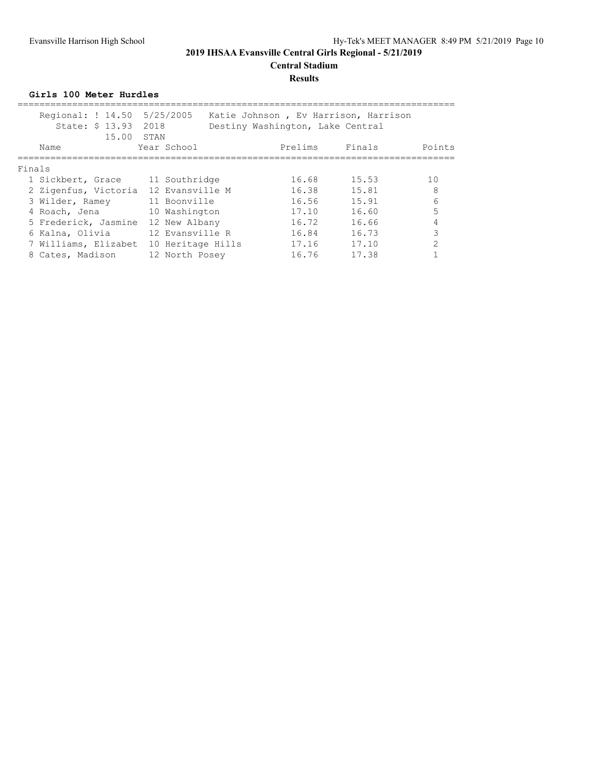# **Central Stadium**

#### **Results**

**Girls 100 Meter Hurdles**

| Regional: ! 14.50 5/25/2005<br>State: \$ 13.93 2018<br>15.00 STAN |                   |  | Katie Johnson, Ev Harrison, Harrison<br>Destiny Washington, Lake Central |        |                 |  |  |  |
|-------------------------------------------------------------------|-------------------|--|--------------------------------------------------------------------------|--------|-----------------|--|--|--|
| Name                                                              | Year School       |  | Prelims                                                                  | Finals | Points          |  |  |  |
| Finals                                                            |                   |  |                                                                          |        |                 |  |  |  |
| 1 Sickbert, Grace                                                 | 11 Southridge     |  | 16.68                                                                    | 15.53  | 10              |  |  |  |
| 2 Zigenfus, Victoria                                              | 12 Evansville M   |  | 16.38                                                                    | 15.81  | 8               |  |  |  |
| 3 Wilder, Ramey                                                   | 11 Boonville      |  | 16.56                                                                    | 15.91  | $6\overline{6}$ |  |  |  |
| 4 Roach, Jena                                                     | 10 Washington     |  | 17.10                                                                    | 16.60  | 5               |  |  |  |
| 5 Frederick, Jasmine                                              | 12 New Albany     |  | 16.72                                                                    | 16.66  |                 |  |  |  |
| 6 Kalna, Olivia                                                   | 12 Evansville R   |  | 16.84                                                                    | 16.73  | 3               |  |  |  |
| 7 Williams, Elizabet                                              | 10 Heritage Hills |  | 17.16                                                                    | 17.10  | $\mathfrak{D}$  |  |  |  |
| 8 Cates, Madison                                                  | 12 North Posey    |  | 16.76                                                                    | 17.38  |                 |  |  |  |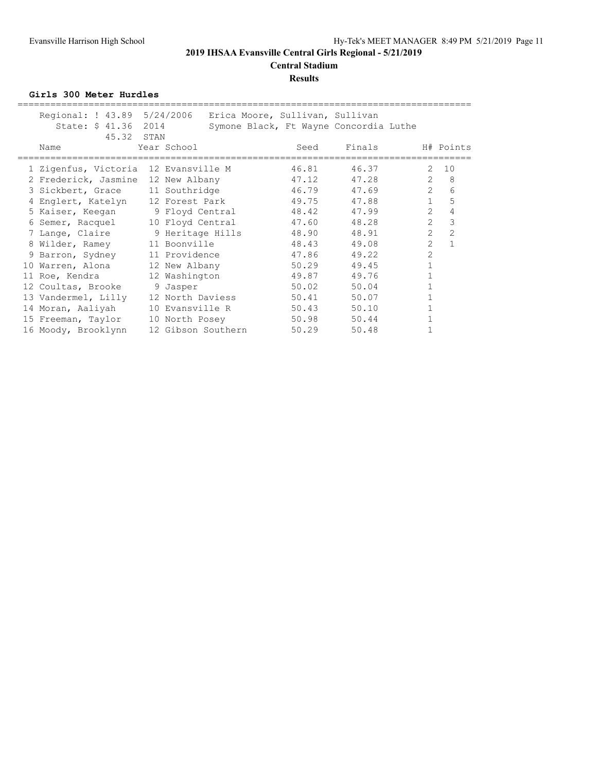# **Central Stadium**

#### **Results**

**Girls 300 Meter Hurdles**

| Regional: ! 43.89 5/24/2006<br>State: \$ 41.36 2014 |                    |  | Erica Moore, Sullivan, Sullivan | Symone Black, Ft Wayne Concordia Luthe |                |                |
|-----------------------------------------------------|--------------------|--|---------------------------------|----------------------------------------|----------------|----------------|
| 45.32 STAN<br>Name                                  | Year School        |  | Seed                            | Finals                                 |                | H# Points      |
| 1 Zigenfus, Victoria 12 Evansville M                |                    |  | 46.81                           | 46.37                                  | $\mathcal{L}$  | 10             |
| 2 Frederick, Jasmine 12 New Albany                  |                    |  | 47.12                           | 47.28                                  | $\mathbf{2}$   | 8              |
| 3 Sickbert, Grace 11 Southridge 5 16.79 47.69       |                    |  |                                 |                                        | $\overline{2}$ | 6              |
| 4 Englert, Katelyn 12 Forest Park                   |                    |  | 49.75                           | 47.88                                  | $\mathbf{1}$   | 5              |
| 5 Kaiser, Keegan 9 Floyd Central                    |                    |  | 48.42                           | 47.99                                  | $\overline{2}$ | 4              |
| 6 Semer, Racquel                                    |                    |  | 10 Floyd Central 47.60          | 48.28                                  | $\overline{2}$ | $\mathcal{S}$  |
| 7 Lange, Claire                                     | 9 Heritage Hills   |  | 48.90                           | 48.91                                  | $\overline{2}$ | $\overline{c}$ |
| 8 Wilder, Ramey 11 Boonville                        |                    |  | 48.43                           | 49.08                                  | $\overline{2}$ | $\mathbf{1}$   |
| 9 Barron, Sydney                                    | 11 Providence      |  | 47.86                           | 49.22                                  | $\overline{2}$ |                |
| 10 Warren, Alona 12 New Albany                      |                    |  | 50.29                           | 49.45                                  |                |                |
| 11 Roe, Kendra                                      | 12 Washington      |  | 49.87                           | 49.76                                  |                |                |
| 12 Coultas, Brooke                                  | 9 Jasper           |  | 50.02                           | 50.04                                  |                |                |
| 13 Vandermel, Lilly                                 | 12 North Daviess   |  | 50.41                           | 50.07                                  |                |                |
| 14 Moran, Aaliyah                                   | 10 Evansville R    |  | 50.43                           | 50.10                                  |                |                |
| 15 Freeman, Taylor                                  | 10 North Posey     |  | 50.98                           | 50.44                                  |                |                |
| 16 Moody, Brooklynn                                 | 12 Gibson Southern |  | 50.29                           | 50.48                                  |                |                |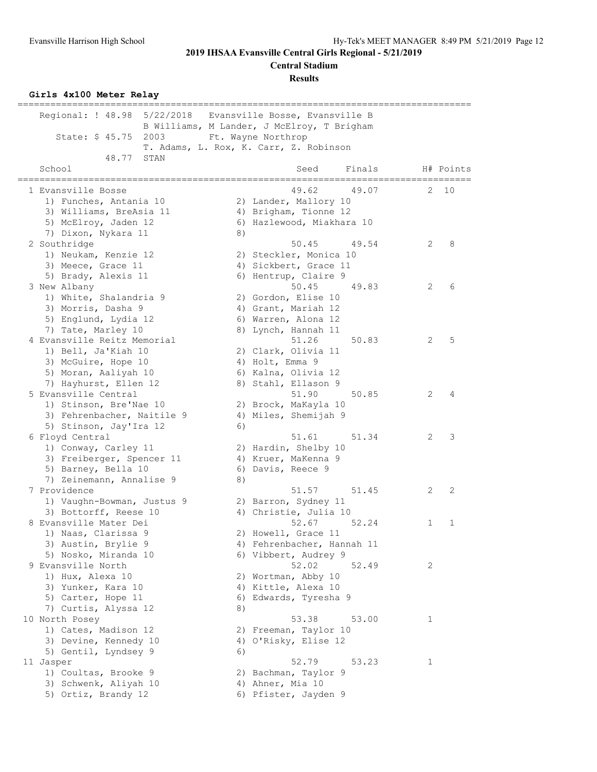**Central Stadium**

**Results**

#### **Girls 4x100 Meter Relay**

| 5/22/2018<br>Regional: ! 48.98                      |    | Evansville Bosse, Evansville B                    |   |           |
|-----------------------------------------------------|----|---------------------------------------------------|---|-----------|
|                                                     |    | B Williams, M Lander, J McElroy, T Brigham        |   |           |
| State: \$ 45.75<br>2003                             |    | Ft. Wayne Northrop                                |   |           |
|                                                     |    | T. Adams, L. Rox, K. Carr, Z. Robinson            |   |           |
| 48.77<br>STAN                                       |    |                                                   |   |           |
| School<br>==================                        |    | Finals<br>Seed<br>, , , , , , , , , , , , , , , , |   | H# Points |
| 1 Evansville Bosse                                  |    | 49.62<br>49.07                                    | 2 | 10        |
| 1) Funches, Antania 10                              |    | 2) Lander, Mallory 10                             |   |           |
| 3) Williams, BreAsia 11                             |    | 4) Brigham, Tionne 12                             |   |           |
| 5) McElroy, Jaden 12                                |    | 6) Hazlewood, Miakhara 10                         |   |           |
| 7) Dixon, Nykara 11                                 | 8) |                                                   |   |           |
| 2 Southridge                                        |    | 50.45<br>49.54                                    | 2 | 8         |
| 1) Neukam, Kenzie 12                                |    | 2) Steckler, Monica 10                            |   |           |
| 3) Meece, Grace 11                                  |    | 4) Sickbert, Grace 11                             |   |           |
| 5) Brady, Alexis 11                                 |    | 6) Hentrup, Claire 9                              |   |           |
| 3 New Albany                                        |    | 50.45<br>49.83                                    | 2 | 6         |
| 1) White, Shalandria 9                              |    | 2) Gordon, Elise 10                               |   |           |
| 3) Morris, Dasha 9                                  |    | 4) Grant, Mariah 12                               |   |           |
| 5) Englund, Lydia 12                                |    | 6) Warren, Alona 12                               |   |           |
| 7) Tate, Marley 10                                  |    | 8) Lynch, Hannah 11                               |   |           |
| 4 Evansville Reitz Memorial                         |    | 51.26<br>50.83                                    | 2 | 5         |
| 1) Bell, Ja'Kiah 10                                 |    | 2) Clark, Olivia 11                               |   |           |
| 3) McGuire, Hope 10                                 |    | 4) Holt, Emma 9                                   |   |           |
| 5) Moran, Aaliyah 10                                |    | 6) Kalna, Olivia 12                               |   |           |
| 7) Hayhurst, Ellen 12                               |    | 8) Stahl, Ellason 9                               |   |           |
| 5 Evansville Central                                |    | 51.90<br>50.85                                    | 2 | 4         |
| 1) Stinson, Bre'Nae 10                              |    | 2) Brock, MaKayla 10                              |   |           |
| 3) Fehrenbacher, Naitile 9                          |    | 4) Miles, Shemijah 9                              |   |           |
| 5) Stinson, Jay'Ira 12                              | 6) |                                                   |   |           |
| 6 Floyd Central                                     |    | 51.61<br>51.34                                    | 2 | 3         |
| 1) Conway, Carley 11                                |    | 2) Hardin, Shelby 10                              |   |           |
| 3) Freiberger, Spencer 11                           |    | 4) Kruer, MaKenna 9                               |   |           |
| 5) Barney, Bella 10                                 |    | 6) Davis, Reece 9                                 |   |           |
| 7) Zeinemann, Annalise 9<br>7 Providence            | 8) | 51.57                                             | 2 | 2         |
|                                                     |    | 51.45<br>2) Barron, Sydney 11                     |   |           |
| 1) Vaughn-Bowman, Justus 9<br>3) Bottorff, Reese 10 |    | 4) Christie, Julia 10                             |   |           |
| 8 Evansville Mater Dei                              |    | 52.67<br>52.24                                    | 1 | 1         |
| 1) Naas, Clarissa 9                                 |    | 2) Howell, Grace 11                               |   |           |
| 3) Austin, Brylie 9                                 |    | 4) Fehrenbacher, Hannah 11                        |   |           |
| 5) Nosko, Miranda 10                                |    | 6) Vibbert, Audrey 9                              |   |           |
| 9 Evansville North                                  |    | 52.02<br>52.49                                    | 2 |           |
| 1) Hux, Alexa 10                                    |    | 2) Wortman, Abby 10                               |   |           |
| 3) Yunker, Kara 10                                  |    | 4) Kittle, Alexa 10                               |   |           |
| 5) Carter, Hope 11                                  |    | 6) Edwards, Tyresha 9                             |   |           |
| 7) Curtis, Alyssa 12                                | 8) |                                                   |   |           |
| 10 North Posey                                      |    | 53.38<br>53.00                                    | 1 |           |
| 1) Cates, Madison 12                                |    | 2) Freeman, Taylor 10                             |   |           |
| 3) Devine, Kennedy 10                               |    | 4) O'Risky, Elise 12                              |   |           |
| 5) Gentil, Lyndsey 9                                | 6) |                                                   |   |           |
| 11 Jasper                                           |    | 52.79<br>53.23                                    | 1 |           |
| 1) Coultas, Brooke 9                                |    | 2) Bachman, Taylor 9                              |   |           |
| 3) Schwenk, Aliyah 10                               |    | 4) Ahner, Mia 10                                  |   |           |
| 5) Ortiz, Brandy 12                                 |    | 6) Pfister, Jayden 9                              |   |           |
|                                                     |    |                                                   |   |           |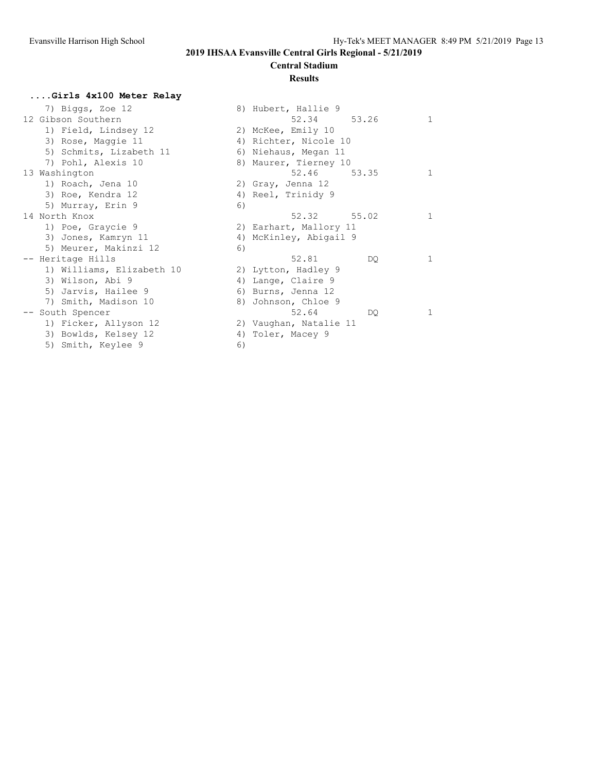### **Central Stadium**

#### **Results**

# **....Girls 4x100 Meter Relay**

| 7) Biggs, Zoe 12          |    | 8) Hubert, Hallie 9    |  |
|---------------------------|----|------------------------|--|
| 12 Gibson Southern        |    | 52.34<br>53.26         |  |
| 1) Field, Lindsey 12      |    | 2) McKee, Emily 10     |  |
| 3) Rose, Maggie 11        |    | 4) Richter, Nicole 10  |  |
| 5) Schmits, Lizabeth 11   |    | 6) Niehaus, Megan 11   |  |
| 7) Pohl, Alexis 10        |    | 8) Maurer, Tierney 10  |  |
| 13 Washington             |    | 52.46<br>53.35         |  |
| 1) Roach, Jena 10         |    | 2) Gray, Jenna 12      |  |
| 3) Roe, Kendra 12         |    | 4) Reel, Trinidy 9     |  |
| 5) Murray, Erin 9         | 6) |                        |  |
| 14 North Knox             |    | 52.32 55.02            |  |
| 1) Poe, Graycie 9         |    | 2) Earhart, Mallory 11 |  |
| 3) Jones, Kamryn 11       |    | 4) McKinley, Abigail 9 |  |
| 5) Meurer, Makinzi 12     | 6) |                        |  |
| -- Heritage Hills         |    | 52.81<br>DQ.           |  |
| 1) Williams, Elizabeth 10 |    | 2) Lytton, Hadley 9    |  |
| 3) Wilson, Abi 9          |    | 4) Lange, Claire 9     |  |
| 5) Jarvis, Hailee 9       |    | 6) Burns, Jenna 12     |  |
| 7) Smith, Madison 10      |    | 8) Johnson, Chloe 9    |  |
| -- South Spencer          |    | 52.64<br>DO.           |  |
| 1) Ficker, Allyson 12     |    | 2) Vaughan, Natalie 11 |  |
| 3) Bowlds, Kelsey 12      |    | 4) Toler, Macey 9      |  |
| 5) Smith, Keylee 9        | 6) |                        |  |
|                           |    |                        |  |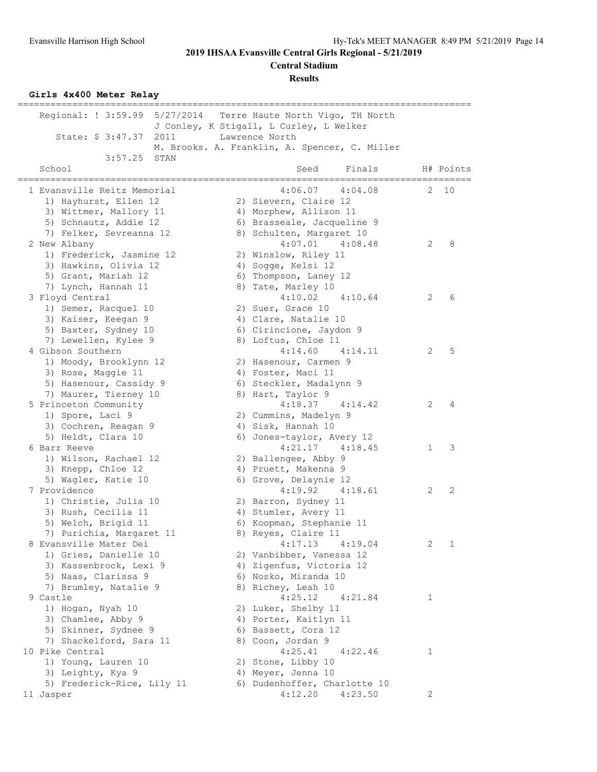**Central Stadium**

**Results**

#### **Girls 4x400 Meter Relay**

| =================                          |                                                                             |   |                       |
|--------------------------------------------|-----------------------------------------------------------------------------|---|-----------------------|
| Regional: ! 3:59.99 5/27/2014              | Terre Haute North Vigo, TH North<br>J Conley, K Stigall, L Curley, L Welker |   |                       |
| State: \$ 3:47.37<br>2011                  | Lawrence North                                                              |   |                       |
|                                            | M. Brooks. A. Franklin, A. Spencer, C. Miller                               |   |                       |
| 3:57.25<br>STAN                            |                                                                             |   |                       |
| School                                     | Finals<br>Seed                                                              |   | H# Points<br>======== |
| 1 Evansville Reitz Memorial                | =======<br>===========<br>4:06.07<br>4:04.08                                | 2 | 10                    |
| 1) Hayhurst, Ellen 12                      | 2) Sievern, Claire 12                                                       |   |                       |
| 3) Wittmer, Mallory 11                     | 4) Morphew, Allison 11                                                      |   |                       |
| 5) Schnautz, Addie 12                      | 6) Brasseale, Jacqueline 9                                                  |   |                       |
| 7) Felker, Sevreanna 12                    | 8) Schulten, Margaret 10                                                    |   |                       |
| 2 New Albany                               | 4:07.01<br>4:08.48                                                          | 2 | 8                     |
| 1) Frederick, Jasmine 12                   | 2) Winslow, Riley 11                                                        |   |                       |
| 3) Hawkins, Olivia 12                      | 4) Sogge, Kelsi 12                                                          |   |                       |
| 5) Grant, Mariah 12                        | 6) Thompson, Laney 12                                                       |   |                       |
| 7) Lynch, Hannah 11                        | 8) Tate, Marley 10                                                          |   |                       |
| 3 Floyd Central                            | 4:10.02<br>4:10.64                                                          | 2 | 6                     |
| 1) Semer, Racquel 10                       | 2) Suer, Grace 10                                                           |   |                       |
| 3) Kaiser, Keegan 9                        | 4) Clare, Natalie 10                                                        |   |                       |
| 5) Baxter, Sydney 10                       | 6) Cirincione, Jaydon 9                                                     |   |                       |
| 7) Lewellen, Kylee 9                       | 8) Loftus, Chloe 11                                                         |   |                       |
| 4 Gibson Southern                          | 4:14.60<br>4:14.11                                                          | 2 | 5                     |
| 1) Moody, Brooklynn 12                     | 2) Hasenour, Carmen 9                                                       |   |                       |
| 3) Rose, Maggie 11                         | 4) Foster, Maci 11                                                          |   |                       |
| 5) Hasenour, Cassidy 9                     | 6) Steckler, Madalynn 9                                                     |   |                       |
| 7) Maurer, Tierney 10                      | 8) Hart, Taylor 9                                                           |   |                       |
| 5 Princeton Community                      | 4:18.37<br>4:14.42                                                          | 2 | 4                     |
| 1) Spore, Laci 9                           | 2) Cummins, Madelyn 9                                                       |   |                       |
| 3) Cochren, Reagan 9                       | 4) Sisk, Hannah 10                                                          |   |                       |
| 5) Heldt, Clara 10                         | 6) Jones-taylor, Avery 12                                                   |   |                       |
| 6 Barr Reeve                               | $4:21.17$ $4:18.45$                                                         | 1 | 3                     |
| 1) Wilson, Rachael 12                      | 2) Ballengee, Abby 9                                                        |   |                       |
| 3) Knepp, Chloe 12                         | 4) Pruett, Makenna 9                                                        |   |                       |
| 5) Wagler, Katie 10                        | 6) Grove, Delaynie 12                                                       |   |                       |
| 7 Providence                               | 4:19.92<br>4:18.61                                                          | 2 | 2                     |
| 1) Christie, Julia 10                      | 2) Barron, Sydney 11                                                        |   |                       |
| 3) Rush, Cecilia 11                        | 4) Stumler, Avery 11                                                        |   |                       |
| 5) Welch, Brigid 11                        | 6) Koopman, Stephanie 11                                                    |   |                       |
| 7) Purichia, Margaret 11                   | 8) Reyes, Claire 11                                                         |   |                       |
| 8 Evansville Mater Dei                     | 4:17.13<br>4:19.04                                                          | 2 | 1                     |
| 1) Gries, Danielle 10                      | 2) Vanbibber, Vanessa 12                                                    |   |                       |
| 3) Kassenbrock, Lexi 9                     | 4) Zigenfus, Victoria 12                                                    |   |                       |
| 5) Naas, Clarissa 9                        | 6) Nosko, Miranda 10                                                        |   |                       |
| 7) Brumley, Natalie 9                      | 8) Richey, Leah 10<br>4:25.12<br>4:21.84                                    |   |                       |
| 9 Castle                                   |                                                                             | 1 |                       |
| 1) Hogan, Nyah 10                          | 2) Luker, Shelby 11                                                         |   |                       |
| 3) Chamlee, Abby 9<br>5) Skinner, Sydnee 9 | 4) Porter, Kaitlyn 11<br>6) Bassett, Cora 12                                |   |                       |
| 7) Shackelford, Sara 11                    | 8) Coon, Jordan 9                                                           |   |                       |
| 10 Pike Central                            | 4:25.41<br>4:22.46                                                          | 1 |                       |
| 1) Young, Lauren 10                        | 2) Stone, Libby 10                                                          |   |                       |
| 3) Leighty, Kya 9                          | 4) Meyer, Jenna 10                                                          |   |                       |
| 5) Frederick-Rice, Lily 11                 | 6) Dudenhoffer, Charlotte 10                                                |   |                       |
| 11 Jasper                                  | 4:12.20<br>4:23.50                                                          | 2 |                       |
|                                            |                                                                             |   |                       |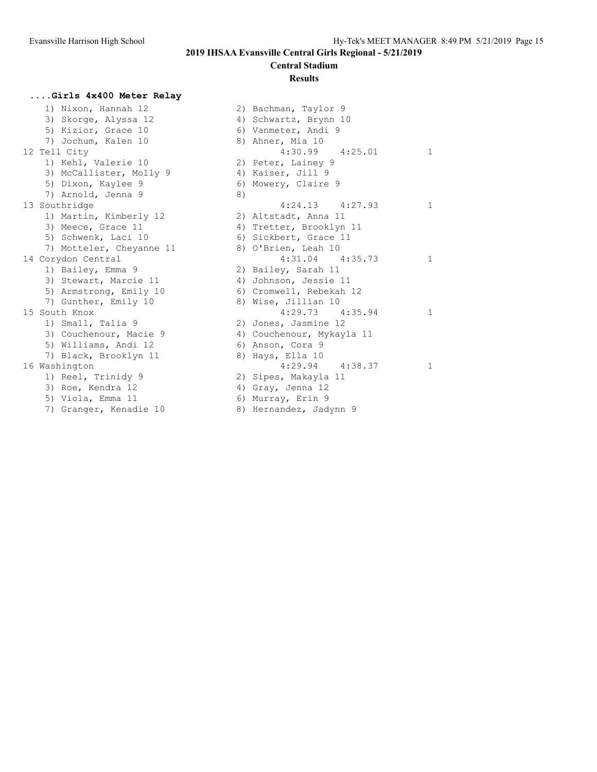#### **Central Stadium**

#### **Results**

#### **....Girls 4x400 Meter Relay**

 1) Nixon, Hannah 12 2) Bachman, Taylor 9 3) Skorge, Alyssa 12 5) Kizior, Grace 10 7) Jochum, Kalen 10 12 Tell City 1) Kehl, Valerie 10 3) McCallister, Molly 9 5) Dixon, Kaylee 9 7) Arnold, Jenna 9 13 Southridge 1) Martin, Kimberly 12 3) Meece, Grace 11 5) Schwenk, Laci 10 7) Motteler, Cheyanne 11 14 Corydon Central 1) Bailey, Emma 9 3) Stewart, Marcie 11 5) Armstrong, Emily 10 7) Gunther, Emily 10 15 South Knox 1) Small, Talia 9 3) Couchenour, Macie 9 5) Williams, Andi 12 7) Black, Brooklyn 11 16 Washington 1) Reel, Trinidy 9 3) Roe, Kendra 12 5) Viola, Emma  $11$ 7) Granger, Kenadie 10

| $\angle$ ) | Bachman, Taylor y         |              |
|------------|---------------------------|--------------|
|            | 4) Schwartz, Brynn 10     |              |
|            | 6) Vanmeter, Andi 9       |              |
|            | 8) Ahner, Mia 10          |              |
|            | $4:30.99$ $4:25.01$       | 1            |
|            | 2) Peter, Lainey 9        |              |
|            | 4) Kaiser, Jill 9         |              |
| 6)         | Mowery, Claire 9          |              |
| 8)         |                           |              |
|            | $4:24.13$ $4:27.93$       | $\mathbf{1}$ |
|            | 2) Altstadt, Anna 11      |              |
|            | 4) Tretter, Brooklyn 11   |              |
|            | 6) Sickbert, Grace 11     |              |
|            | 8) O'Brien, Leah 10       |              |
|            | $4:31.04$ $4:35.73$       | 1            |
|            | 2) Bailey, Sarah 11       |              |
|            | 4) Johnson, Jessie 11     |              |
|            | 6) Cromwell, Rebekah 12   |              |
|            | 8) Wise, Jillian 10       |              |
|            | $4:29.73$ $4:35.94$       | 1            |
|            | 2) Jones, Jasmine 12      |              |
|            | 4) Couchenour, Mykayla 11 |              |
|            | 6) Anson, Cora 9          |              |
|            | 8) Hays, Ella 10          |              |
|            | $4:29.94$ $4:38.37$       | 1            |
|            | 2) Sipes, Makayla 11      |              |
|            | 4) Gray, Jenna 12         |              |
| 6)         | Murray, Erin 9            |              |
|            | 8) Hernandez, Jadynn 9    |              |
|            |                           |              |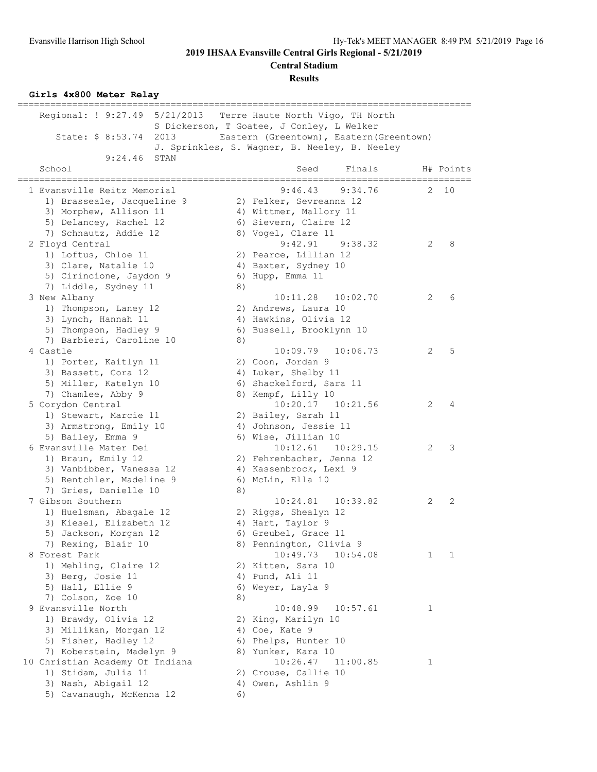**Central Stadium**

**Results**

#### **Girls 4x800 Meter Relay**

| =====<br>Regional: ! 9:27.49<br>5/21/2013 |    | Terre Haute North Vigo, TH North              |   |           |
|-------------------------------------------|----|-----------------------------------------------|---|-----------|
|                                           |    | S Dickerson, T Goatee, J Conley, L Welker     |   |           |
| State: \$ 8:53.74<br>2013                 |    | Eastern (Greentown), Eastern (Greentown)      |   |           |
|                                           |    | J. Sprinkles, S. Wagner, B. Neeley, B. Neeley |   |           |
| 9:24.46<br>STAN                           |    |                                               |   |           |
| School                                    |    | Finals<br>Seed<br>=======<br>:===========     |   | H# Points |
| 1 Evansville Reitz Memorial               |    | 9:46.43<br>9:34.76                            | 2 | 10        |
| 1) Brasseale, Jacqueline 9                |    | 2) Felker, Sevreanna 12                       |   |           |
| 3) Morphew, Allison 11                    |    | 4) Wittmer, Mallory 11                        |   |           |
| 5) Delancey, Rachel 12                    |    | 6) Sievern, Claire 12                         |   |           |
| 7) Schnautz, Addie 12                     |    | 8) Vogel, Clare 11                            |   |           |
| 2 Floyd Central                           |    | 9:42.91<br>9:38.32                            | 2 | 8         |
| 1) Loftus, Chloe 11                       |    | 2) Pearce, Lillian 12                         |   |           |
| 3) Clare, Natalie 10                      |    | 4) Baxter, Sydney 10                          |   |           |
| 5) Cirincione, Jaydon 9                   |    | 6) Hupp, Emma 11                              |   |           |
| 7) Liddle, Sydney 11                      | 8) |                                               |   |           |
| 3 New Albany                              |    | 10:11.28<br>10:02.70                          | 2 | 6         |
| 1) Thompson, Laney 12                     |    | 2) Andrews, Laura 10                          |   |           |
| 3) Lynch, Hannah 11                       |    | 4) Hawkins, Olivia 12                         |   |           |
| 5) Thompson, Hadley 9                     |    | 6) Bussell, Brooklynn 10                      |   |           |
| 7) Barbieri, Caroline 10                  | 8) |                                               |   |           |
| 4 Castle                                  |    | 10:06.73<br>10:09.79                          | 2 | 5         |
| 1) Porter, Kaitlyn 11                     |    | 2) Coon, Jordan 9                             |   |           |
| 3) Bassett, Cora 12                       |    | 4) Luker, Shelby 11                           |   |           |
| 5) Miller, Katelyn 10                     |    | 6) Shackelford, Sara 11                       |   |           |
| 7) Chamlee, Abby 9                        |    | 8) Kempf, Lilly 10                            |   |           |
| 5 Corydon Central                         |    | 10:20.17  10:21.56                            | 2 | 4         |
| 1) Stewart, Marcie 11                     |    | 2) Bailey, Sarah 11                           |   |           |
| 3) Armstrong, Emily 10                    |    | 4) Johnson, Jessie 11                         |   |           |
| 5) Bailey, Emma 9                         |    | 6) Wise, Jillian 10                           |   |           |
| 6 Evansville Mater Dei                    |    | 10:12.61<br>10:29.15                          | 2 | 3         |
| 1) Braun, Emily 12                        |    | 2) Fehrenbacher, Jenna 12                     |   |           |
| 3) Vanbibber, Vanessa 12                  |    | 4) Kassenbrock, Lexi 9                        |   |           |
| 5) Rentchler, Madeline 9                  |    | 6) McLin, Ella 10                             |   |           |
| 7) Gries, Danielle 10                     | 8) |                                               |   |           |
| 7 Gibson Southern                         |    | 10:24.81<br>10:39.82                          | 2 | 2         |
| 1) Huelsman, Abagale 12                   |    | 2) Riggs, Shealyn 12                          |   |           |
| 3) Kiesel, Elizabeth 12                   |    | 4) Hart, Taylor 9                             |   |           |
| 5) Jackson, Morgan 12                     |    | 6) Greubel, Grace 11                          |   |           |
| 7) Rexing, Blair 10                       |    | 8) Pennington, Olivia 9                       |   |           |
| 8 Forest Park                             |    | 10:49.73<br>10:54.08                          | 1 | 1         |
| 1) Mehling, Claire 12                     |    | 2) Kitten, Sara 10                            |   |           |
| 3) Berg, Josie 11                         |    | 4) Pund, Ali 11                               |   |           |
| 5) Hall, Ellie 9                          |    | 6) Weyer, Layla 9                             |   |           |
| 7) Colson, Zoe 10                         | 8) |                                               |   |           |
| 9 Evansville North                        |    | 10:48.99<br>10:57.61                          | 1 |           |
| 1) Brawdy, Olivia 12                      |    | 2) King, Marilyn 10                           |   |           |
| 3) Millikan, Morgan 12                    |    | 4) Coe, Kate 9                                |   |           |
| 5) Fisher, Hadley 12                      |    | 6) Phelps, Hunter 10                          |   |           |
| 7) Koberstein, Madelyn 9                  |    | 8) Yunker, Kara 10                            |   |           |
| 10 Christian Academy Of Indiana           |    | 10:26.47<br>11:00.85                          | 1 |           |
| 1) Stidam, Julia 11                       |    | 2) Crouse, Callie 10                          |   |           |
| 3) Nash, Abigail 12                       |    | 4) Owen, Ashlin 9                             |   |           |
| 5) Cavanaugh, McKenna 12                  | 6) |                                               |   |           |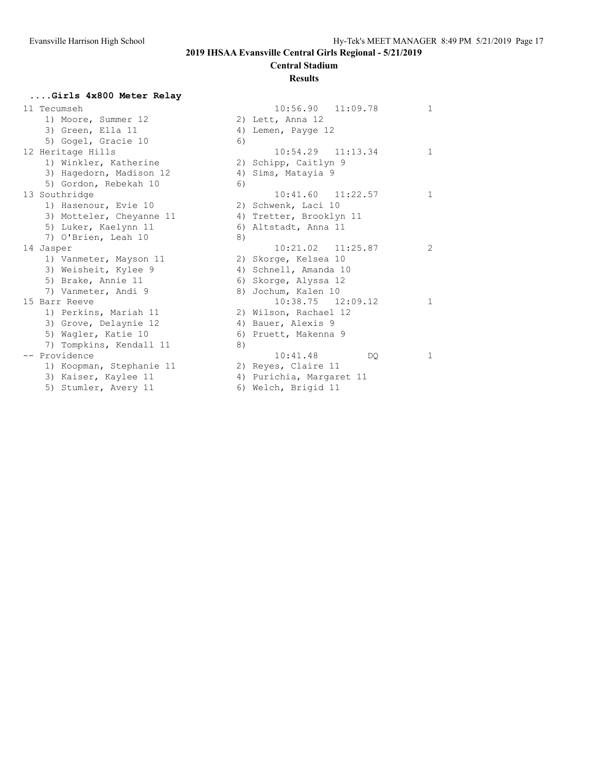### **Central Stadium**

#### **Results**

#### **....Girls 4x800 Meter Relay**

| 11 Tecumseh              |    | $10:56.90$ $11:09$ .     |
|--------------------------|----|--------------------------|
| 1) Moore, Summer 12      |    | 2) Lett, Anna 12         |
| 3) Green, Ella 11        |    | 4) Lemen, Payge 12       |
| 5) Gogel, Gracie 10      | 6) |                          |
| 12 Heritage Hills        |    | $10:54.29$ $11:13$ .     |
| 1) Winkler, Katherine    |    | 2) Schipp, Caitlyn 9     |
| 3) Hagedorn, Madison 12  |    | 4) Sims, Matayia 9       |
| 5) Gordon, Rebekah 10    | 6) |                          |
| 13 Southridge            |    | $10:41.60$ $11:22$ .     |
| 1) Hasenour, Evie 10     |    | 2) Schwenk, Laci 10      |
| 3) Motteler, Cheyanne 11 |    | 4) Tretter, Brooklyn 11  |
| 5) Luker, Kaelynn 11     |    | 6) Altstadt, Anna 11     |
| 7) O'Brien, Leah 10      | 8) |                          |
| 14 Jasper                |    | $10:21.02$ $11:25$ .     |
| 1) Vanmeter, Mayson 11   |    | 2) Skorge, Kelsea 10     |
| 3) Weisheit, Kylee 9     |    | 4) Schnell, Amanda 10    |
| 5) Brake, Annie 11       |    | 6) Skorge, Alyssa 12     |
| 7) Vanmeter, Andi 9      |    | 8) Jochum, Kalen 10      |
| 15 Barr Reeve            |    | $10:38.75$ $12:09$ .     |
| 1) Perkins, Mariah 11    |    | 2) Wilson, Rachael 12    |
| 3) Grove, Delaynie 12    |    | 4) Bauer, Alexis 9       |
| 5) Wagler, Katie 10      |    | 6) Pruett, Makenna 9     |
| 7) Tompkins, Kendall 11  | 8) |                          |
| -- Providence            |    | 10:41.48                 |
| 1) Koopman, Stephanie 11 |    | 2) Reyes, Claire 11      |
| 3) Kaiser, Kaylee 11     |    | 4) Purichia, Margaret 11 |

| 11 Tecumseh              | 10:56.90<br>11:09.78        | $\mathbf{1}$   |
|--------------------------|-----------------------------|----------------|
| 1) Moore, Summer 12      | 2) Lett, Anna 12            |                |
| 3) Green, Ella 11        | Lemen, Payge 12<br>4)       |                |
| 5) Gogel, Gracie 10      | 6)                          |                |
| 12 Heritage Hills        | $10:54.29$ $11:13.34$       | $\mathbf{1}$   |
| 1) Winkler, Katherine    | 2) Schipp, Caitlyn 9        |                |
| 3) Hagedorn, Madison 12  | Sims, Matayia 9<br>4)       |                |
| 5) Gordon, Rebekah 10    | 6)                          |                |
| 13 Southridge            | $10:41.60$ $11:22.57$       | $\mathbf{1}$   |
| 1) Hasenour, Evie 10     | 2) Schwenk, Laci 10         |                |
| 3) Motteler, Cheyanne 11 | 4) Tretter, Brooklyn 11     |                |
| 5) Luker, Kaelynn 11     | 6) Altstadt, Anna 11        |                |
| 7) O'Brien, Leah 10      | 8)                          |                |
| 14 Jasper                | $10:21.02$ $11:25.87$       | $\overline{c}$ |
| 1) Vanmeter, Mayson 11   | 2) Skorge, Kelsea 10        |                |
| 3) Weisheit, Kylee 9     | 4) Schnell, Amanda 10       |                |
| 5) Brake, Annie 11       | 6) Skorge, Alyssa 12        |                |
| 7) Vanmeter, Andi 9      | Jochum, Kalen 10<br>8)      |                |
| 15 Barr Reeve            | $10:38.75$ $12:09.12$       | $\mathbf{1}$   |
| 1) Perkins, Mariah 11    | 2) Wilson, Rachael 12       |                |
| 3) Grove, Delaynie 12    | 4) Bauer, Alexis 9          |                |
| 5) Wagler, Katie 10      | 6) Pruett, Makenna 9        |                |
| 7) Tompkins, Kendall 11  | 8)                          |                |
| -- Providence            | 10:41.48<br>DO.             | $\mathbf{1}$   |
| 1) Koopman, Stephanie 11 | 2) Reyes, Claire 11         |                |
| 3) Kaiser, Kaylee 11     | Purichia, Margaret 11<br>4) |                |
| 5) Stumler, Avery 11     | 6) Welch, Brigid 11         |                |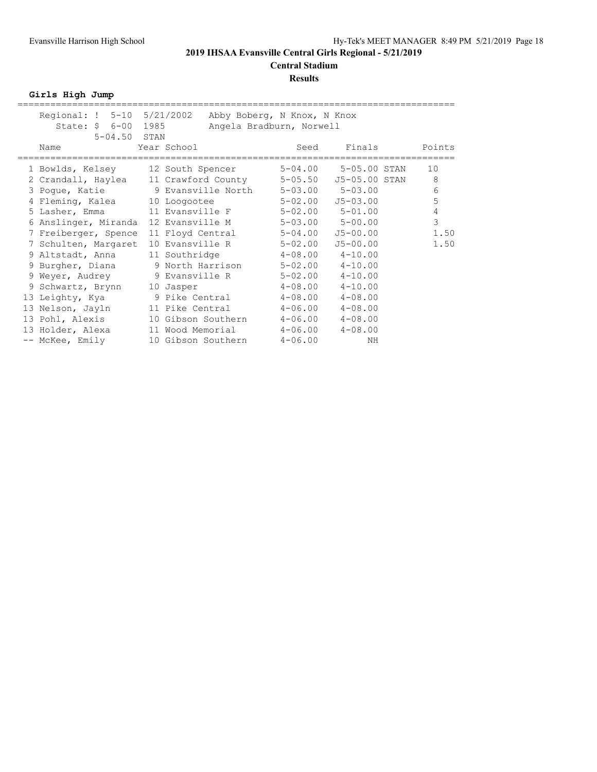#### **Results**

**Girls High Jump**

| Regional: ! 5-10 5/21/2002<br>State: \$ 6-00 1985<br>$5 - 04.50$ STAN |                               | Abby Boberg, N Knox, N Knox<br>Angela Bradburn, Norwell |                                          |                |
|-----------------------------------------------------------------------|-------------------------------|---------------------------------------------------------|------------------------------------------|----------------|
| Name                                                                  | Year School                   | Seed                                                    | Finals                                   | Points         |
| 1 Bowlds, Kelsey                                                      | 12 South Spencer              | $5 - 04.00$                                             | 5-05.00 STAN                             | 10             |
| 2 Crandall, Haylea<br>3 Pogue, Katie 9 Evansville North               | 11 Crawford County            | $5 - 05.50$                                             | J5-05.00 STAN<br>$5 - 03.00$ $5 - 03.00$ | 8<br>6         |
| 4 Fleming, Kalea                                                      | 10 Loogootee                  | 5-02.00                                                 | $J5 - 03.00$                             | 5              |
| 5 Lasher, Emma                                                        | 11 Evansville F               |                                                         | $5 - 02.00$ $5 - 01.00$                  | $\overline{4}$ |
| 6 Anslinger, Miranda                                                  | 12 Evansville M               | $5 - 03.00$                                             | $5 - 00.00$                              | 3              |
| 7 Freiberger, Spence                                                  | 11 Floyd Central              | $5 - 04.00$                                             | $J5 - 00.00$                             | 1.50           |
| 7 Schulten, Margaret                                                  | 10 Evansville R               | $5 - 02.00$                                             | $J5 - 00.00$                             | 1.50           |
| 9 Altstadt, Anna                                                      | 11 Southridge 4-08.00 4-10.00 |                                                         |                                          |                |
| 9 Burgher, Diana                                                      | 9 North Harrison              |                                                         | $5 - 02.00$ $4 - 10.00$                  |                |
| 9 Weyer, Audrey                                                       | 9 Evansville R                |                                                         | $5 - 02.00$ $4 - 10.00$                  |                |
| 9 Schwartz, Brynn                                                     | 10 Jasper                     | $4 - 08.00$                                             | $4 - 10.00$                              |                |
| 13 Leighty, Kya                                                       | 9 Pike Central                |                                                         | $4 - 08.00$ $4 - 08.00$                  |                |
| 13 Nelson, Jayln                                                      | 11 Pike Central               |                                                         | $4-06.00$ $4-08.00$                      |                |
| 13 Pohl, Alexis                                                       | 10 Gibson Southern            | $4 - 06.00$                                             | $4 - 08.00$                              |                |
| 13 Holder, Alexa                                                      | 11 Wood Memorial              | $4 - 06.00$                                             | $4 - 08.00$                              |                |
| -- McKee, Emily                                                       | 10 Gibson Southern            | $4 - 06.00$                                             | NH                                       |                |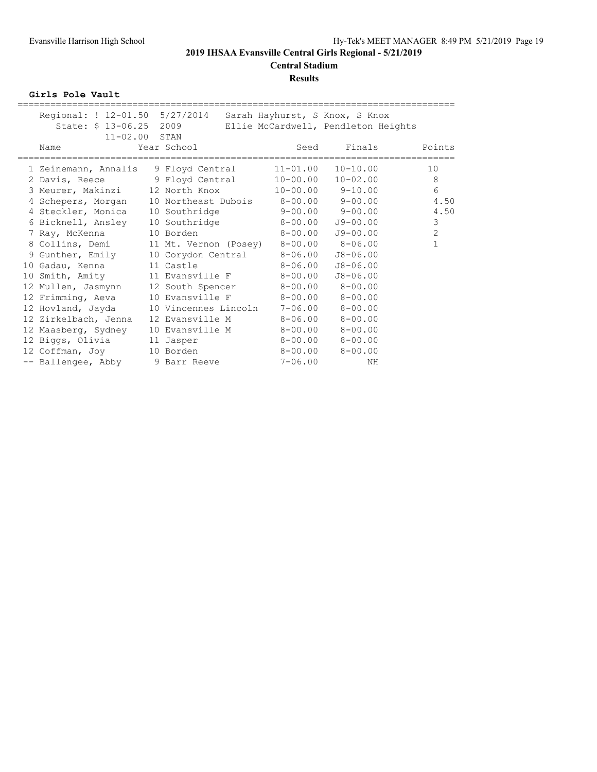**Central Stadium**

#### **Results**

**Girls Pole Vault**

| Regional: ! 12-01.50 5/27/2014  |                       | Sarah Hayhurst, S Knox, S Knox      |                          |                |
|---------------------------------|-----------------------|-------------------------------------|--------------------------|----------------|
| State: \$ 13-06.25              | 2009                  | Ellie McCardwell, Pendleton Heights |                          |                |
| $11 - 02.00$ STAN               |                       |                                     |                          |                |
| Name                            | Year School           | Seed                                | Finals                   | Points         |
|                                 |                       |                                     |                          |                |
| 1 Zeinemann, Annalis            | 9 Floyd Central       | $11 - 01.00$                        | $10 - 10.00$             | 10             |
| 2 Davis, Reece 9 Floyd Central  |                       | $10 - 00.00$                        | $10 - 02.00$             | 8              |
| 3 Meurer, Makinzi               | 12 North Knox         |                                     | $10 - 00.00$ $9 - 10.00$ | 6              |
| 4 Schepers, Morgan              |                       | 10 Northeast Dubois 8-00.00 9-00.00 |                          | 4.50           |
| 4 Steckler, Monica              | 10 Southridge         | $9 - 00.00$ $9 - 00.00$             |                          | 4.50           |
| 6 Bicknell, Ansley              | 10 Southridge         | $8 - 00.00$                         | $J9 - 00.00$             | 3              |
| 7 Ray, McKenna                  | 10 Borden             | $8 - 00.00$                         | $J9 - 00.00$             | $\overline{2}$ |
| 8 Collins, Demi                 | 11 Mt. Vernon (Posey) |                                     | 8-00.00 8-06.00          | $\mathbf{1}$   |
| 9 Gunther, Emily                | 10 Corydon Central    | $8 - 06.00$                         | $J8 - 06.00$             |                |
| 10 Gadau, Kenna                 | 11 Castle             | $8 - 06.00$                         | $J8 - 06.00$             |                |
| 10 Smith, Amity                 | 11 Evansville F       | $8 - 00.00$                         | $J8 - 06.00$             |                |
| 12 Mullen, Jasmynn              | 12 South Spencer      |                                     | $8 - 00.00$ $8 - 00.00$  |                |
| 12 Frimming, Aeva               | 10 Evansville F       | $8-00.00$ $8-00.00$                 |                          |                |
| 12 Hovland, Jayda               | 10 Vincennes Lincoln  |                                     | $7 - 06.00$ $8 - 00.00$  |                |
| 12 Zirkelbach, Jenna            | 12 Evansville M       | 8-06.00                             | $8 - 00.00$              |                |
| 12 Maasberg, Sydney             | 10 Evansville M       |                                     | $8 - 00.00$ $8 - 00.00$  |                |
| 12 Biggs, Olivia                | 11 Jasper             |                                     | $8 - 00.00$ $8 - 00.00$  |                |
| 12 Coffman, Joy                 | 10 Borden             | $8 - 00.00$                         | $8 - 00.00$              |                |
| -- Ballengee, Abby 9 Barr Reeve |                       | $7 - 06.00$                         | NH                       |                |
|                                 |                       |                                     |                          |                |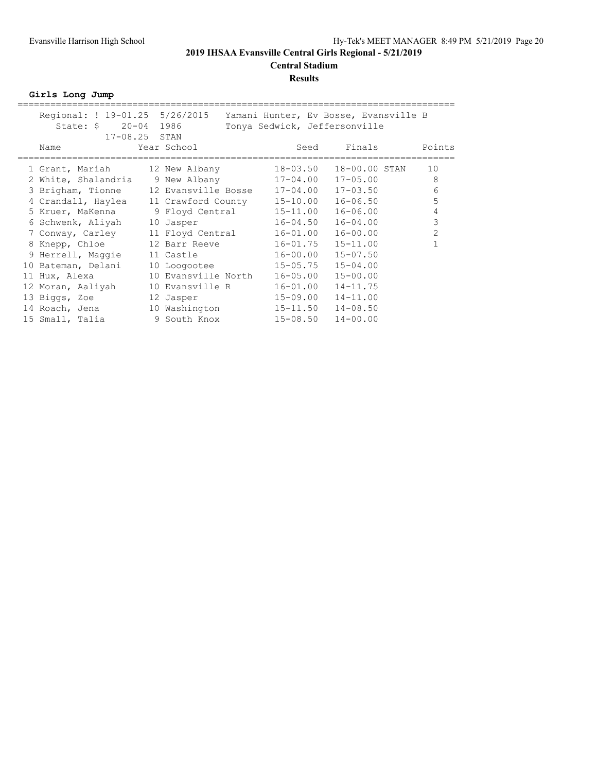# **Central Stadium**

#### **Results**

**Girls Long Jump**

|    | Regional: ! 19-01.25 5/26/2015                            |                              |                               |      |              | Yamani Hunter, Ev Bosse, Evansville B |                |
|----|-----------------------------------------------------------|------------------------------|-------------------------------|------|--------------|---------------------------------------|----------------|
|    | State: $\frac{1}{2}$ 20-04                                | 1986                         | Tonya Sedwick, Jeffersonville |      |              |                                       |                |
|    | $17 - 08.25$ STAN                                         |                              |                               |      |              |                                       |                |
|    | Name                                                      | Year School                  |                               | Seed |              | Finals                                | Points         |
|    |                                                           |                              |                               |      |              |                                       |                |
|    | 1 Grant, Mariah 12 New Albany                             |                              | 18-03.50                      |      |              | 18-00.00 STAN                         | 10             |
|    | 2 White, Shalandria 9 New Albany 17-04.00                 |                              |                               |      | $17 - 05.00$ |                                       | 8              |
|    | 3 Brigham, Tionne                                         | 12 Evansville Bosse 17-04.00 |                               |      | $17 - 03.50$ |                                       | 6              |
|    | 4 Crandall, Haylea                                        | 11 Crawford County 15-10.00  |                               |      | $16 - 06.50$ |                                       | 5              |
|    | 5 Kruer, MaKenna         9 Floyd Central         15-11.00 |                              |                               |      | $16 - 06.00$ |                                       | 4              |
|    | 6 Schwenk, Aliyah                                         | 10 Jasper                    | $16 - 04.50$                  |      | $16 - 04.00$ |                                       | 3              |
|    | 7 Conway, Carley                                          | 11 Floyd Central             | 16-01.00                      |      | $16 - 00.00$ |                                       | $\overline{2}$ |
|    | 8 Knepp, Chloe                                            | 12 Barr Reeve                | $16 - 01.75$                  |      | $15 - 11.00$ |                                       |                |
|    | 9 Herrell, Maqqie                                         | 11 Castle                    | 16-00.00                      |      | $15 - 07.50$ |                                       |                |
|    | 10 Bateman, Delani                                        | 10 Loogootee                 | $15 - 05.75$                  |      | $15 - 04.00$ |                                       |                |
| 11 | Hux, Alexa                                                | 10 Evansville North          | $16 - 05.00$                  |      | $15 - 00.00$ |                                       |                |
|    | 12 Moran, Aaliyah                                         | 10 Evansville R              | $16 - 01.00$                  |      | $14 - 11.75$ |                                       |                |
|    | 13 Biggs, Zoe                                             | 12 Jasper                    | 15-09.00                      |      | $14 - 11.00$ |                                       |                |
|    | 14 Roach, Jena                                            | 10 Washington                | $15 - 11.50$                  |      | $14 - 08.50$ |                                       |                |
|    | 15 Small, Talia                                           | 9 South Knox                 | $15 - 08.50$                  |      | $14 - 00.00$ |                                       |                |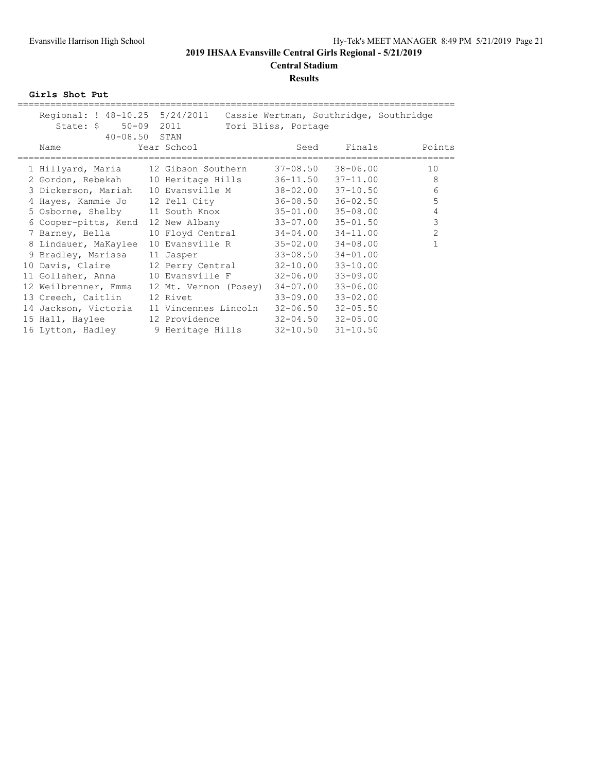# **Results**

**Girls Shot Put**

| Regional: ! 48-10.25 5/24/2011 Cassie Wertman, Southridge, Southridge |                               |                     |              |                |
|-----------------------------------------------------------------------|-------------------------------|---------------------|--------------|----------------|
| State: \$ 50-09 2011                                                  |                               | Tori Bliss, Portage |              |                |
| $40 - 08.50$ STAN                                                     |                               |                     |              |                |
| Name                                                                  | Year School                   | Seed                |              | Finals Points  |
|                                                                       |                               |                     |              |                |
| 1 Hillyard, Maria     12 Gibson Southern     37-08.50                 |                               |                     | 38-06.00     | 10             |
| 2 Gordon, Rebekah 10 Heritage Hills 36-11.50 37-11.00                 |                               |                     |              | 8              |
| 3 Dickerson, Mariah 10 Evansville M 38-02.00                          |                               |                     | $37 - 10.50$ | 6              |
| 4 Hayes, Kammie Jo 12 Tell City                                       |                               | 36-08.50            | $36 - 02.50$ | 5              |
| 5 Osborne, Shelby 11 South Knox 35-01.00                              |                               |                     | 35-08.00     | 4              |
| 6 Cooper-pitts, Kend                                                  | 12 New Albany 33-07.00        |                     | $35 - 01.50$ | 3              |
| 7 Barney, Bella                                                       | 10 Floyd Central 34-04.00     |                     | $34 - 11.00$ | $\overline{2}$ |
| 8 Lindauer, MaKaylee                                                  | 10 Evansville R 35-02.00      |                     | $34 - 08.00$ |                |
| 9 Bradley, Marissa                                                    | 11 Jasper                     | $33 - 08.50$        | $34 - 01.00$ |                |
| 10 Davis, Claire                                                      | 12 Perry Central 32-10.00     |                     | $33 - 10.00$ |                |
| 11 Gollaher, Anna                                                     | 10 Evansville F 32-06.00      |                     | $33 - 09.00$ |                |
| 12 Weilbrenner, Emma                                                  | 12 Mt. Vernon (Posey)         | 34-07.00            | $33 - 06.00$ |                |
| 13 Creech, Caitlin                                                    | 12 Rivet                      | 33-09.00            | $33 - 02.00$ |                |
| 14 Jackson, Victoria                                                  | 11 Vincennes Lincoln 32-06.50 |                     | $32 - 05.50$ |                |
| 15 Hall, Haylee                                                       | 12 Providence                 | $32 - 04.50$        | $32 - 05.00$ |                |
| 16 Lytton, Hadley 9 Heritage Hills 32-10.50                           |                               |                     | $31 - 10.50$ |                |